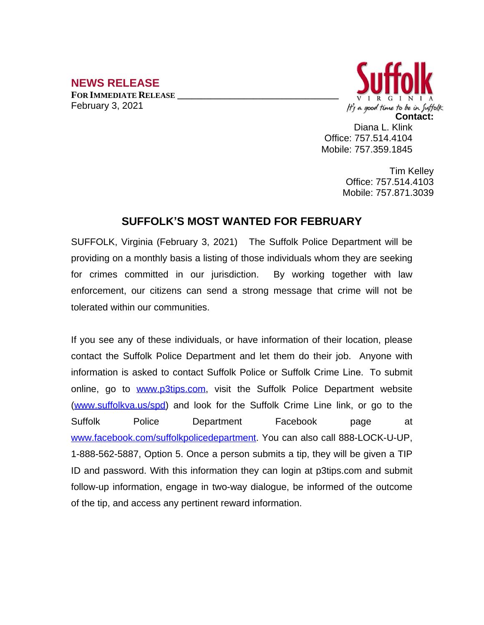## **NEWS RELEASE**

**FOR IMMEDIATE RELEASE \_\_\_\_\_\_\_\_\_\_\_\_\_\_\_\_\_\_\_\_\_\_\_\_\_\_\_\_\_\_\_\_\_\_** February 3, 2021



Diana L. Klink Office: 757.514.4104 Mobile: 757.359.1845

> Tim Kelley Office: 757.514.4103 Mobile: 757.871.3039

## **SUFFOLK'S MOST WANTED FOR FEBRUARY**

SUFFOLK, Virginia (February 3, 2021) The Suffolk Police Department will be providing on a monthly basis a listing of those individuals whom they are seeking for crimes committed in our jurisdiction. By working together with law enforcement, our citizens can send a strong message that crime will not be tolerated within our communities.

If you see any of these individuals, or have information of their location, please contact the Suffolk Police Department and let them do their job. Anyone with information is asked to contact Suffolk Police or Suffolk Crime Line. To submit online, go to [www.p3tips.com](http://www.p3tips.com), visit the Suffolk Police Department website ([www.suffolkva.us/spd](http://www.suffolkva.us/spd)) and look for the Suffolk Crime Line link, or go to the Suffolk Police Department Facebook page at [www.facebook.com/suffolkpolicedepartment](http://www.facebook.com/suffolkpolicedepartment). You can also call 888-LOCK-U-UP, 1-888-562-5887, Option 5. Once a person submits a tip, they will be given a TIP ID and password. With this information they can login at p3tips.com and submit follow-up information, engage in two-way dialogue, be informed of the outcome of the tip, and access any pertinent reward information.